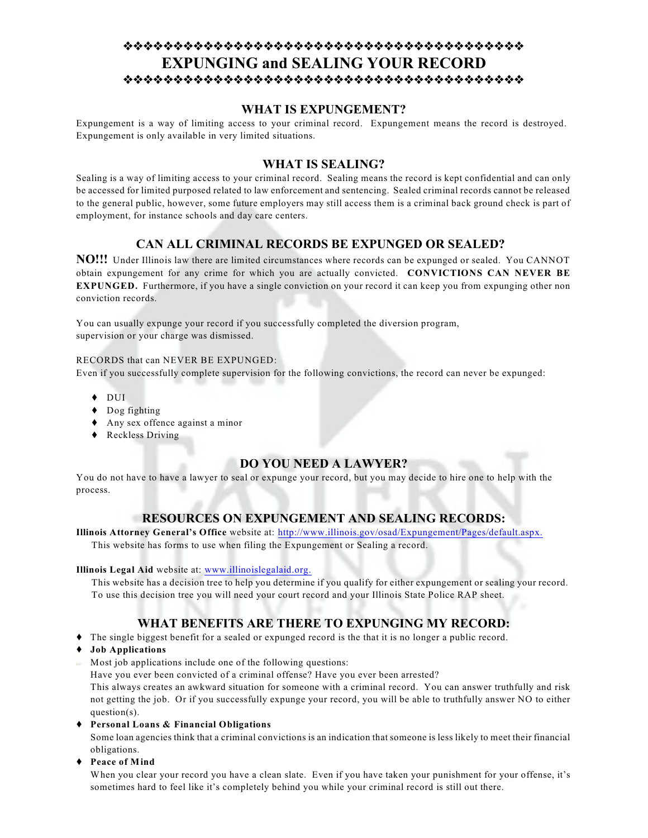# **EXPUNGING and SEALING YOUR RECORD**

## **WHAT IS EXPUNGEMENT?**

Expungement is a way of limiting access to your criminal record. Expungement means the record is destroyed. Expungement is only available in very limited situations.

# **WHAT IS SEALING?**

Sealing is a way of limiting access to your criminal record. Sealing means the record is kept confidential and can only be accessed for limited purposed related to law enforcement and sentencing. Sealed criminal records cannot be released to the general public, however, some future employers may still access them is a criminal back ground check is part of employment, for instance schools and day care centers.

# **CAN ALL CRIMINAL RECORDS BE EXPUNGED OR SEALED?**

**NO!!!** Under Illinois law there are limited circumstances where records can be expunged or sealed. You CANNOT obtain expungement for any crime for which you are actually convicted. **CONVICTIONS CAN NEVER BE EXPUNGED.** Furthermore, if you have a single conviction on your record it can keep you from expunging other non conviction records.

You can usually expunge your record if you successfully completed the diversion program, supervision or your charge was dismissed.

#### RECORDS that can NEVER BE EXPUNGED:

Even if you successfully complete supervision for the following convictions, the record can never be expunged:

- ◆ DUI
- ◆ Dog fighting
- Any sex offence against a minor
- ◆ Reckless Driving

## **DO YOU NEED A LAWYER?**

You do not have to have a lawyer to seal or expunge your record, but you may decide to hire one to help with the process.

## **RESOURCES ON EXPUNGEMENT AND SEALING RECORDS:**

**Illinois Attorney General's Office** website at: <http://www.illinois.gov/osad/Expungement/Pages/default.aspx.> This website has forms to use when filing the Expungement or Sealing a record.

#### **Illinois Legal Aid** website at: [www.illinoislegalaid.org.](http://www.illinoislegalaid.org.)

This website has a decision tree to help you determine if you qualify for either expungement or sealing your record. To use this decision tree you will need your court record and your Illinois State Police RAP sheet.

# **WHAT BENEFITS ARE THERE TO EXPUNGING MY RECORD:**

- The single biggest benefit for a sealed or expunged record is the that it is no longer a public record.
- **Job Applications**
- $\blacksquare$  Most job applications include one of the following questions:

Have you ever been convicted of a criminal offense? Have you ever been arrested?

This always creates an awkward situation for someone with a criminal record. You can answer truthfully and risk not getting the job. Or if you successfully expunge your record, you will be able to truthfully answer NO to either question(s).

**Personal Loans & Financial Obligations**

Some loan agencies think that a criminal convictions is an indication that someone is less likely to meet their financial obligations.

**Peace of Mind**

When you clear your record you have a clean slate. Even if you have taken your punishment for your offense, it's sometimes hard to feel like it's completely behind you while your criminal record is still out there.